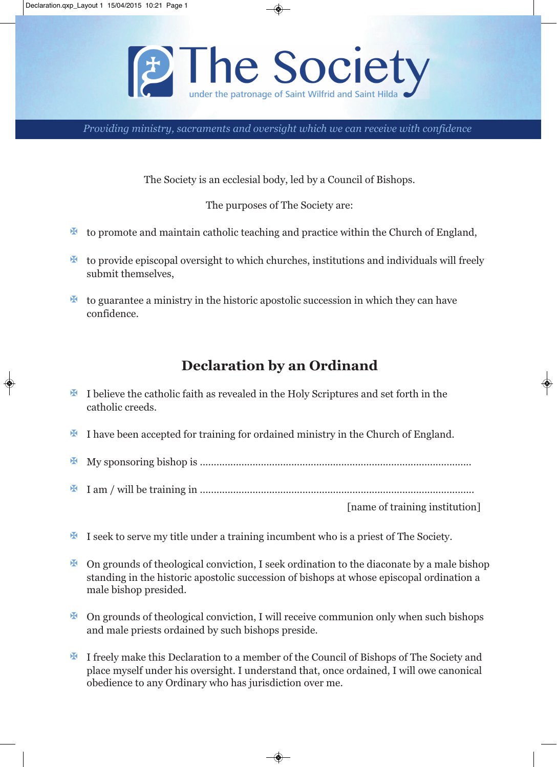

*Providing ministry, sacraments and oversight which we can receive with confidence*

The Society is an ecclesial body, led by a Council of Bishops.

The purposes of The Society are:

- $\mathbf{\Sigma}$  to promote and maintain catholic teaching and practice within the Church of England,
- $\mathbf{\Sigma}$  to provide episcopal oversight to which churches, institutions and individuals will freely submit themselves,
- $\mathbf{\Sigma}$  to guarantee a ministry in the historic apostolic succession in which they can have confidence.

## **Declaration by an Ordinand**

- $\mathbf{\mathbf{F}}$  I believe the catholic faith as revealed in the Holy Scriptures and set forth in the catholic creeds.
- I have been accepted for training for ordained ministry in the Church of England.

X My sponsoring bishop is ..................................................................................................

X I am / will be training in ...................................................................................................

[name of training institution]

- **X** I seek to serve my title under a training incumbent who is a priest of The Society.
- $\mathbb F$  On grounds of theological conviction, I seek ordination to the diaconate by a male bishop standing in the historic apostolic succession of bishops at whose episcopal ordination a male bishop presided.
- $\mathbb F$  On grounds of theological conviction, I will receive communion only when such bishops and male priests ordained by such bishops preside.
- **X** I freely make this Declaration to a member of the Council of Bishops of The Society and place myself under his oversight. I understand that, once ordained, I will owe canonical obedience to any Ordinary who has jurisdiction over me.